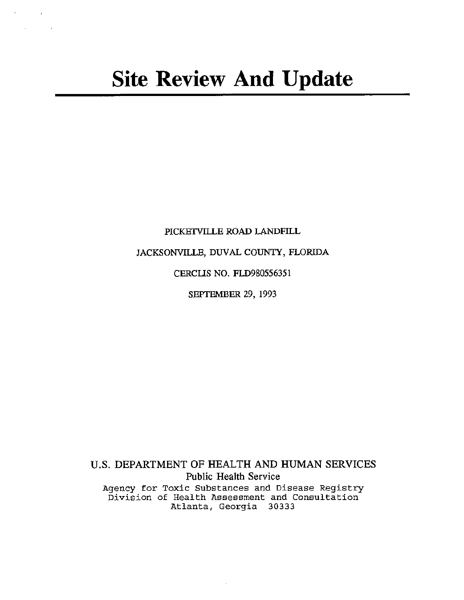$\mathcal{H}^{\text{max}}_{\text{max}}$  and  $\mathcal{H}^{\text{max}}_{\text{max}}$  $\Delta \sim 10^{-10}$  k

PICKETVILLE ROAD LANDFILL

JACKSONVILLE, DUVAL COUNTY, FLORIDA

CERCUS NO. FLD980556351

SEPTEMBER 29, 1993

U.S. DEPARTMENT OF HEALTH AND HUMAN SERVICES Public Health Service Agency for Toxic Substances and Disease Registry Division of Health Assessment and Consultation Atlanta, Georgia 30333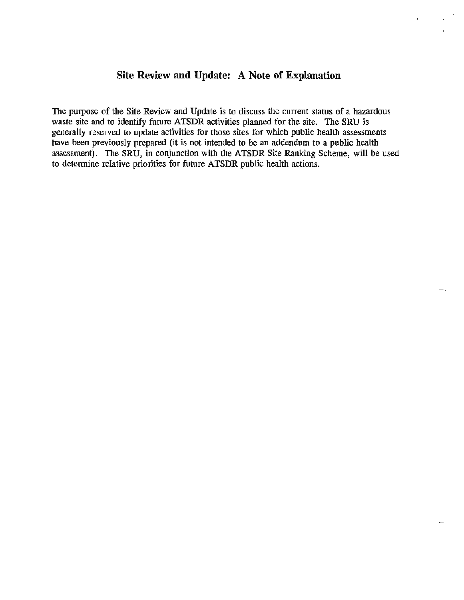# **Site Review and Update: A Note of Explanation**

The purpose of the Site Review and Update is to discuss the current status of a hazardous waste site and to identify future ATSDR activities planned for the site. The SRU is generally reserved to update activities for those sites for which public health assessments have been previously prepared (it is not intended to be an addendum to a public health assessment). The SRU, in conjunction with the ATSDR Site Ranking Scheme, will be used to determine relative priorities for future ATSDR public health actions.

......... )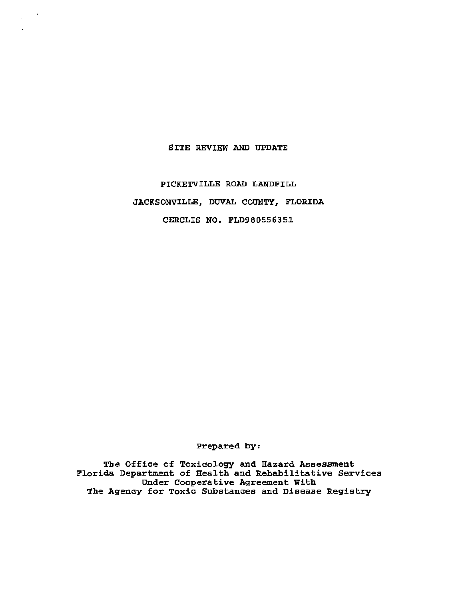## SITE REVIEW AND UPDATE

 $\frac{1}{2} \left( \frac{1}{2} \right) \left( \frac{1}{2} \right)$  $\epsilon = 100$ 

> PICKETVILLE ROAD LANDFILL JACKSONVILLE, DUVAL COUNTY, FLORIDA CERCLIS NO. FLD980556351

> > Prepared by:

The Office of Toxicology and Hazard Assessment Florida Department of Health and Rehabilitative Services Under Cooperative Agreement With The Agency for Toxic Substances and Disease Registry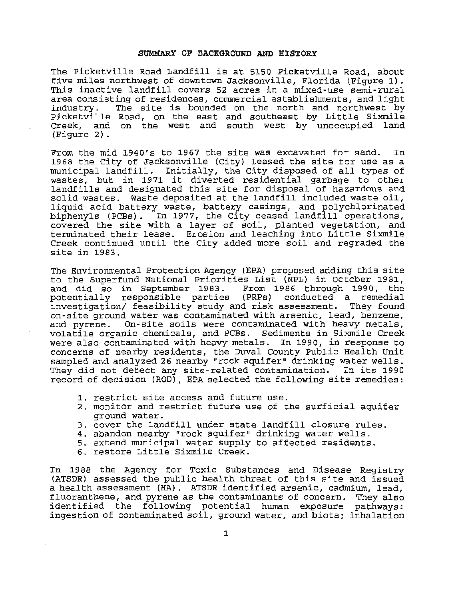#### **SUMMARY OF BACKGROUND AND HISTORY**

The Picketville Road Landfill is at 5150 Picketville Road, about five miles northwest of downtown Jacksonville, Florida (Figure 1) . This inactive landfill covers 52 acres in a mixed-use semi-rural area consisting of residences, commercial establishments, and light<br>industry. The site is bounded on the north and northwest by The site is bounded on the north and northwest by Picketville Road, on the east and southeast by Little Sixmile Creek, and on the west and south west by unoccupied land (Figure 2) .

From the mid 1940's to 1967 the site was excavated for sand. In 1968 the City of Jacksonville (City) leased the site for use as a municipal landfill. Initially, the City disposed of all types of municipal fandriff. Initially, the city disposed of all types of<br>wastes, but in 1971 it diverted residential garbage to other landfills and designated this site for disposal of hazardous and solid wastes. Waste deposited at the landfill included waste oil, liquid acid battery waste, battery casings, and polychlorinated biphenyls (PCBs). In 1977, the City ceased landfill operations, covered the site with a layer of soil, planted vegetation, and terminated their lease. Erosion and leaching into Little Sixmile Creek continued until the City added more soil and regraded the site in 1983.

The Environmental Protection Agency (EPA) proposed adding this site to the Superfund National Priorities List (NPL) in October 1981, and did so in September 1983. From 1986 through 1990, the potentially responsible parties (PRPs) conducted a remedial investigation/ feasibility study and risk assessment. They found on-site ground water was contaminated with arsenic, lead, benzene, and pyrene. On-site soils were contaminated with heavy metals, volatile organic chemicals, and PCBs. Sediments in Sixmile Creek were also contaminated with heavy metals. In 1990, in response to concerns of nearby residents, the Duval County Public Health Unit sampled and analyzed 26 nearby "rock aquifer" drinking water wells. They did not detect any site-related contamination. In its 1990 record of decision (ROD), EPA selected the following site remedies:

- 1. restrict site access and future use.
- 2. monitor and restrict future use of the surficial aquifer ground water.
- 3. cover the landfill under state landfill closure rules.
- 4. abandon nearby "rock aquifer" drinking water wells.
- 5. extend municipal water supply to affected residents.
- 6. restore Little Sixmile Creek.

In 1988 the Agency for Toxic Substances and Disease Registry (ATSDR) assessed the public health threat of this site and issued a health assessment (HA). ATSDR identified arsenic, cadmium, lead, fluoranthene, and pyrene as the contaminants of concern. They also identified the following potential human exposure pathways: ingestion of contaminated soil, ground water, and biota; inhalation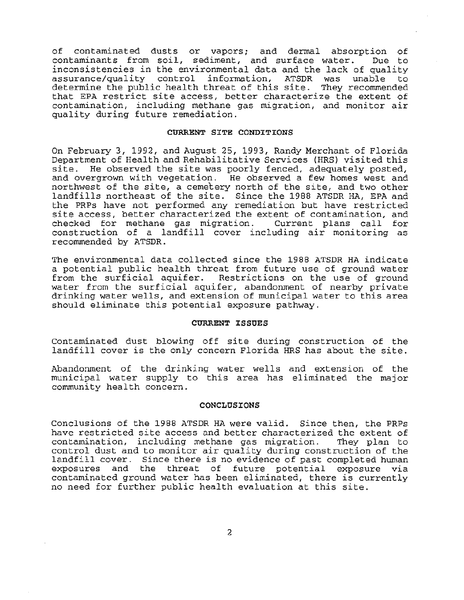of contaminated dusts or vapors; and dermal absorption of<br>contaminants from soil, sediment, and surface water. Due to contaminants from soil, sediment, and surface water. inconsistencies in the environmental data and the lack of quality<br>assurance/quality control information, ATSDR was unable to assurance/quality control information, ATSDR was unable determine the public health threat of this site. They recommended that EPA restrict site access, better characterize the extent of contamination, including methane gas migration, and monitor air quality during future remediation.

#### **CURRENT SITE CONDITIONS**

On February *3,* 1992, and August *25,* 1993, Randy Merchant of Florida Department of Health and Rehabilitative Services (HRS) visited this site. He observed the site was poorly fenced, adequately posted, and overgrown with vegetation. He observed a few homes west and northwest of the site, a cemetery north of the site, and two other landfills northeast of the site. Since the 1988 ATSDR HA, EPA and the PRPs have not performed any remediation but have restricted site access, better characterized the extent of contamination, and checked for methane gas migration. Current plans call for construction of a landfill cover including air monitoring as recommended by ATSDR.

The environmental data collected since the 1988 ATSDR HA indicate a potential public health threat from future use of ground water from the surficial aquifer. Restrictions on the use of ground water from the surficial aquifer, abandonment of nearby private drinking water wells, and extension of municipal water to this area should eliminate this potential exposure pathway.

## **CURRENT ISSUES**

Contaminated dust blowing off site during construction of the landfill cover is the only concern Florida HRS has about the site.

Abandonment of the drinking water wells and extension of the municipal water supply to this area has eliminated the major community health concern.

#### **CONCLUSIONS**

Conclusions of the 1988 ATSDR HA were valid. Since then, the PRPs have restricted site access and better characterized the extent of contamination, including methane gas migration. They plan to contamination, including methane gas migration. control dust and to monitor air quality during construction of the landfill cover. Since there is no evidence of past completed human exposures and the threat of future potential exposure via contaminated ground water has been eliminated, there is currently no need for further public health evaluation at this site.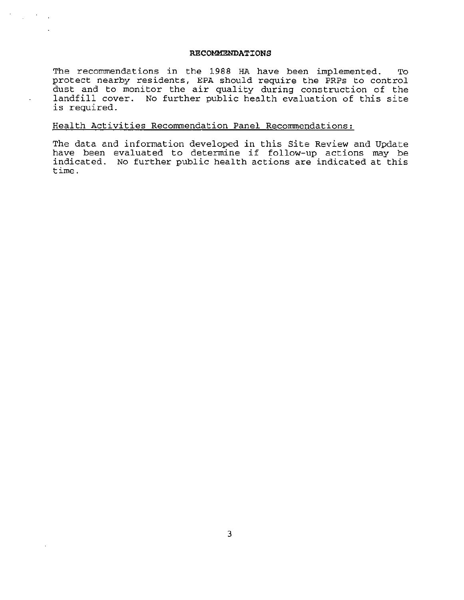### **RECOMMENDATIONS**

The recommendations in the 1988 HA have been implemented. To protect nearby residents, EPA should require the PRPs to control dust and to monitor the air quality during construction of the landfill cover. No further public health evaluation of this site is required.

## Health Activities Recommendation Panel Recommendations:

The data and information developed in this Site Review and Update have been evaluated to determine if follow-up actions may be indicated. No further public health actions are indicated at this time.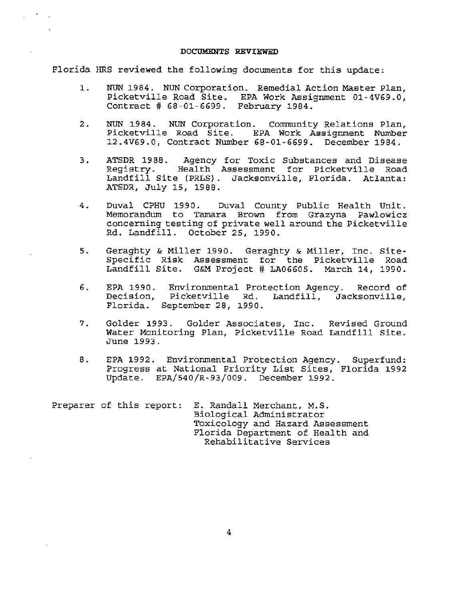### DOCUMENTS REVIEWED

Florida HRS reviewed the following documents for this update:

- 1. NUN 1984. NUN Corporation. Remedial Action Master Plan, Picketville Road Site. EPA Work Assignment 01-4V69.0, Contract # 68-01-6699. February 1984.
- 2. NUN 1984. NUN Corporation. Community Relations Plan, Picketville Road Site. EPA Work Assignment Number 12.4V69.0, Contract Number 68-01-6699 . December 1984.
- 3. ATSDR 1988. Agency for Toxic Substances and Disease<br>Registry. Health Assessment for Picketville Road Health Assessment for Picketville Road Landfill Site (PRLS). Jacksonville, Florida. Atlanta: ATSDR, July 15, 1988.
- 4. Duval CPHU 1990. Duval County Public Health Unit. Memorandum to Tamara Brown from Grazyna Pawlowicz concerning testing of private well around the Picketville Rd. Landfill. October 25, 1990.
- 5. Geraghty & Miller 1990. Geraghty & Miller, Inc. Site-Specific Risk Assessment for the Picketville Road Landfill Site. G&M Project # LA06605. March 14, 1990 .
- 6. EPA 1990. Decision, Florida . September 28, 1990. Environmental Protection Agency. Record of Landfill, Jacksonville,
- 7. Golder 1993. Golder Associates, Inc. Revised Ground Water Monitoring Plan, Picketville Road Landfill Site.<br>June 1993.
- 8. EPA 1992. Environmental Protection Agency. Superfund: Progress at National Priority List Sites, Florida 1992 Update. EPA/540/R-93/009. December 1992.

Preparer of this report: E. Randall Merchant, M.S. Biological Administrator Toxicology and Hazard Assessment Florida Department of Health and Rehabilitative Services

4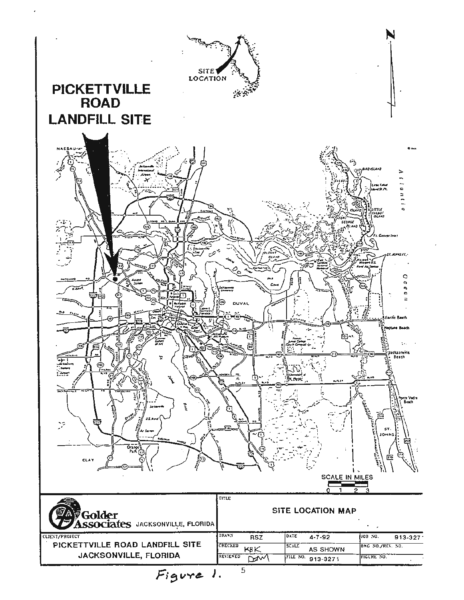